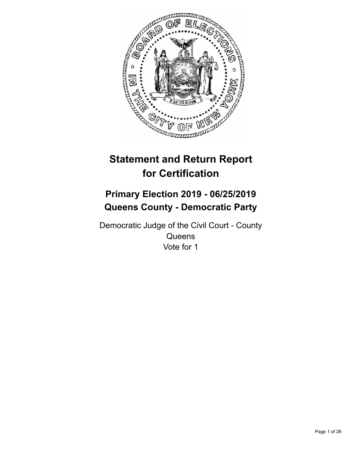

# **Statement and Return Report for Certification**

## **Primary Election 2019 - 06/25/2019 Queens County - Democratic Party**

Democratic Judge of the Civil Court - County **Queens** Vote for 1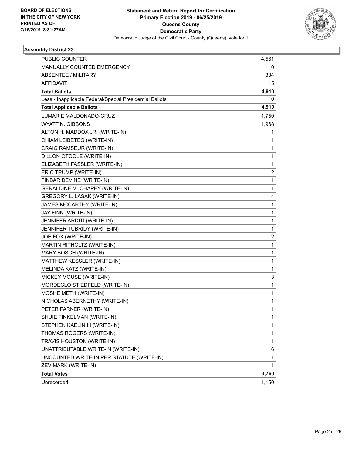

| <b>PUBLIC COUNTER</b>                                    | 4,561 |
|----------------------------------------------------------|-------|
| MANUALLY COUNTED EMERGENCY                               | 0     |
| <b>ABSENTEE / MILITARY</b>                               | 334   |
| <b>AFFIDAVIT</b>                                         | 15    |
| <b>Total Ballots</b>                                     | 4,910 |
| Less - Inapplicable Federal/Special Presidential Ballots | 0     |
| <b>Total Applicable Ballots</b>                          | 4,910 |
| LUMARIE MALDONADO-CRUZ                                   | 1,750 |
| WYATT N. GIBBONS                                         | 1,968 |
| ALTON H. MADDOX JR. (WRITE-IN)                           | 1     |
| CHIAM LEIBETEG (WRITE-IN)                                | 1     |
| CRAIG RAMSEUR (WRITE-IN)                                 | 1     |
| DILLON OTOOLE (WRITE-IN)                                 | 1     |
| ELIZABETH FASSLER (WRITE-IN)                             | 1     |
| ERIC TRUMP (WRITE-IN)                                    | 2     |
| FINBAR DEVINE (WRITE-IN)                                 | 1     |
| <b>GERALDINE M. CHAPEY (WRITE-IN)</b>                    | 1     |
| GREGORY L. LASAK (WRITE-IN)                              | 4     |
| JAMES MCCARTHY (WRITE-IN)                                | 1     |
| JAY FINN (WRITE-IN)                                      | 1     |
| JENNIFER ARDITI (WRITE-IN)                               | 1     |
| JENNIFER TUBRIDY (WRITE-IN)                              | 1     |
| JOE FOX (WRITE-IN)                                       | 2     |
| MARTIN RITHOLTZ (WRITE-IN)                               | 1     |
| MARY BOSCH (WRITE-IN)                                    | 1     |
| MATTHEW KESSLER (WRITE-IN)                               | 1     |
| MELINDA KATZ (WRITE-IN)                                  | 1     |
| MICKEY MOUSE (WRITE-IN)                                  | 3     |
| MORDECLO STIEDFELD (WRITE-IN)                            | 1     |
| MOSHE METH (WRITE-IN)                                    | 1     |
| NICHOLAS ABERNETHY (WRITE-IN)                            | 1     |
| PETER PARKER (WRITE-IN)                                  | 1     |
| SHUIE FINKELMAN (WRITE-IN)                               | 1     |
| STEPHEN KAELIN III (WRITE-IN)                            | 1     |
| THOMAS ROGERS (WRITE-IN)                                 | 1     |
| TRAVIS HOUSTON (WRITE-IN)                                | 1     |
| UNATTRIBUTABLE WRITE-IN (WRITE-IN)                       | 6     |
| UNCOUNTED WRITE-IN PER STATUTE (WRITE-IN)                | 1     |
| ZEV MARK (WRITE-IN)                                      | 1     |
| <b>Total Votes</b>                                       | 3,760 |
| Unrecorded                                               | 1,150 |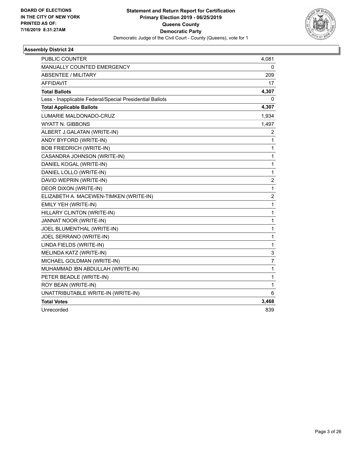

| PUBLIC COUNTER                                           | 4,081          |
|----------------------------------------------------------|----------------|
| <b>MANUALLY COUNTED EMERGENCY</b>                        | 0              |
| ABSENTEE / MILITARY                                      | 209            |
| <b>AFFIDAVIT</b>                                         | 17             |
| <b>Total Ballots</b>                                     | 4,307          |
| Less - Inapplicable Federal/Special Presidential Ballots | 0              |
| <b>Total Applicable Ballots</b>                          | 4,307          |
| LUMARIE MALDONADO-CRUZ                                   | 1,934          |
| <b>WYATT N. GIBBONS</b>                                  | 1,497          |
| ALBERT J.GALATAN (WRITE-IN)                              | 2              |
| ANDY BYFORD (WRITE-IN)                                   | 1              |
| <b>BOB FRIEDRICH (WRITE-IN)</b>                          | 1              |
| CASANDRA JOHNSON (WRITE-IN)                              | 1              |
| DANIEL KOGAL (WRITE-IN)                                  | 1              |
| DANIEL LOLLO (WRITE-IN)                                  | $\mathbf{1}$   |
| DAVID WEPRIN (WRITE-IN)                                  | $\overline{c}$ |
| DEOR DIXON (WRITE-IN)                                    | 1              |
| ELIZABETH A. MACEWEN-TIMKEN (WRITE-IN)                   | 2              |
| EMILY YEH (WRITE-IN)                                     | 1              |
| HILLARY CLINTON (WRITE-IN)                               | 1              |
| JANNAT NOOR (WRITE-IN)                                   | 1              |
| JOEL BLUMENTHAL (WRITE-IN)                               | 1              |
| JOEL SERRANO (WRITE-IN)                                  | $\mathbf{1}$   |
| LINDA FIELDS (WRITE-IN)                                  | $\mathbf{1}$   |
| MELINDA KATZ (WRITE-IN)                                  | 3              |
| MICHAEL GOLDMAN (WRITE-IN)                               | 7              |
| MUHAMMAD IBN ABDULLAH (WRITE-IN)                         | 1              |
| PETER BEADLE (WRITE-IN)                                  | 1              |
| ROY BEAN (WRITE-IN)                                      | $\mathbf{1}$   |
| UNATTRIBUTABLE WRITE-IN (WRITE-IN)                       | 6              |
| <b>Total Votes</b>                                       | 3,468          |
| Unrecorded                                               | 839            |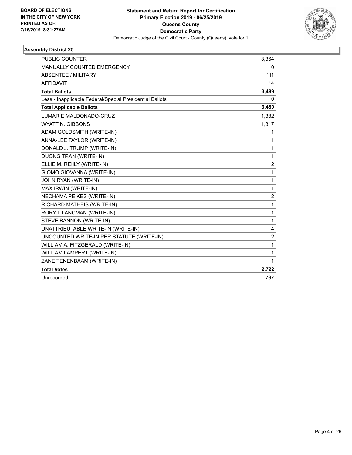

| <b>PUBLIC COUNTER</b>                                    | 3,364          |
|----------------------------------------------------------|----------------|
| <b>MANUALLY COUNTED EMERGENCY</b>                        | 0              |
| <b>ABSENTEE / MILITARY</b>                               | 111            |
| <b>AFFIDAVIT</b>                                         | 14             |
| <b>Total Ballots</b>                                     | 3,489          |
| Less - Inapplicable Federal/Special Presidential Ballots | $\mathbf{0}$   |
| <b>Total Applicable Ballots</b>                          | 3,489          |
| LUMARIE MALDONADO-CRUZ                                   | 1,382          |
| <b>WYATT N. GIBBONS</b>                                  | 1,317          |
| ADAM GOLDSMITH (WRITE-IN)                                | 1              |
| ANNA-LEE TAYLOR (WRITE-IN)                               | 1              |
| DONALD J. TRUMP (WRITE-IN)                               | $\mathbf{1}$   |
| <b>DUONG TRAN (WRITE-IN)</b>                             | $\mathbf{1}$   |
| ELLIE M. REIILY (WRITE-IN)                               | $\overline{c}$ |
| GIOMO GIOVANNA (WRITE-IN)                                | $\mathbf{1}$   |
| JOHN RYAN (WRITE-IN)                                     | $\mathbf{1}$   |
| MAX IRWIN (WRITE-IN)                                     | 1              |
| NECHAMA PEIKES (WRITE-IN)                                | $\overline{2}$ |
| RICHARD MATHEIS (WRITE-IN)                               | $\mathbf{1}$   |
| RORY I. LANCMAN (WRITE-IN)                               | $\mathbf{1}$   |
| STEVE BANNON (WRITE-IN)                                  | 1              |
| UNATTRIBUTABLE WRITE-IN (WRITE-IN)                       | 4              |
| UNCOUNTED WRITE-IN PER STATUTE (WRITE-IN)                | 2              |
| WILLIAM A. FITZGERALD (WRITE-IN)                         | 1              |
| WILLIAM LAMPERT (WRITE-IN)                               | $\mathbf{1}$   |
| ZANE TENENBAAM (WRITE-IN)                                | 1              |
| <b>Total Votes</b>                                       | 2,722          |
| Unrecorded                                               | 767            |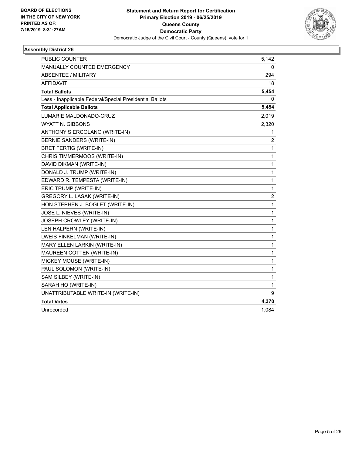

| PUBLIC COUNTER                                           | 5,142                   |
|----------------------------------------------------------|-------------------------|
| <b>MANUALLY COUNTED EMERGENCY</b>                        | 0                       |
| <b>ABSENTEE / MILITARY</b>                               | 294                     |
| <b>AFFIDAVIT</b>                                         | 18                      |
| <b>Total Ballots</b>                                     | 5,454                   |
| Less - Inapplicable Federal/Special Presidential Ballots | 0                       |
| <b>Total Applicable Ballots</b>                          | 5,454                   |
| LUMARIE MALDONADO-CRUZ                                   | 2,019                   |
| WYATT N. GIBBONS                                         | 2,320                   |
| ANTHONY S ERCOLANO (WRITE-IN)                            | 1                       |
| BERNIE SANDERS (WRITE-IN)                                | 2                       |
| <b>BRET FERTIG (WRITE-IN)</b>                            | $\mathbf{1}$            |
| CHRIS TIMMERMOOS (WRITE-IN)                              | 1                       |
| DAVID DIKMAN (WRITE-IN)                                  | 1                       |
| DONALD J. TRUMP (WRITE-IN)                               | 1                       |
| EDWARD R. TEMPESTA (WRITE-IN)                            | 1                       |
| ERIC TRUMP (WRITE-IN)                                    | 1                       |
| GREGORY L. LASAK (WRITE-IN)                              | $\overline{\mathbf{c}}$ |
| HON STEPHEN J. BOGLET (WRITE-IN)                         | 1                       |
| JOSE L. NIEVES (WRITE-IN)                                | 1                       |
| JOSEPH CROWLEY (WRITE-IN)                                | 1                       |
| LEN HALPERN (WRITE-IN)                                   | 1                       |
| LWEIS FINKELMAN (WRITE-IN)                               | 1                       |
| <b>MARY ELLEN LARKIN (WRITE-IN)</b>                      | 1                       |
| MAUREEN COTTEN (WRITE-IN)                                | 1                       |
| MICKEY MOUSE (WRITE-IN)                                  | 1                       |
| PAUL SOLOMON (WRITE-IN)                                  | 1                       |
| SAM SILBEY (WRITE-IN)                                    | 1                       |
| SARAH HO (WRITE-IN)                                      | 1                       |
| UNATTRIBUTABLE WRITE-IN (WRITE-IN)                       | 9                       |
| <b>Total Votes</b>                                       | 4,370                   |
| Unrecorded                                               | 1.084                   |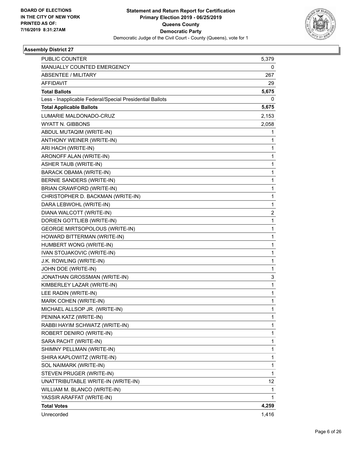

| PUBLIC COUNTER                                           | 5,379                   |
|----------------------------------------------------------|-------------------------|
| MANUALLY COUNTED EMERGENCY                               | 0                       |
| <b>ABSENTEE / MILITARY</b>                               | 267                     |
| AFFIDAVIT                                                | 29                      |
| <b>Total Ballots</b>                                     | 5,675                   |
| Less - Inapplicable Federal/Special Presidential Ballots | 0                       |
| <b>Total Applicable Ballots</b>                          | 5,675                   |
| LUMARIE MALDONADO-CRUZ                                   | 2,153                   |
| WYATT N. GIBBONS                                         | 2,058                   |
| ABDUL MUTAQIM (WRITE-IN)                                 | 1                       |
| ANTHONY WEINER (WRITE-IN)                                | 1                       |
| ARI HACH (WRITE-IN)                                      | 1                       |
| ARONOFF ALAN (WRITE-IN)                                  | 1                       |
| ASHER TAUB (WRITE-IN)                                    | $\mathbf{1}$            |
| BARACK OBAMA (WRITE-IN)                                  | 1                       |
| BERNIE SANDERS (WRITE-IN)                                | 1                       |
| BRIAN CRAWFORD (WRITE-IN)                                | 1                       |
| CHRISTOPHER D. BACKMAN (WRITE-IN)                        | 1                       |
| DARA LEBWOHL (WRITE-IN)                                  | 1                       |
| DIANA WALCOTT (WRITE-IN)                                 | $\overline{\mathbf{c}}$ |
| DORIEN GOTTLIEB (WRITE-IN)                               | 1                       |
| <b>GEORGE MIRTSOPOLOUS (WRITE-IN)</b>                    | 1                       |
| HOWARD BITTERMAN (WRITE-IN)                              | 1                       |
| HUMBERT WONG (WRITE-IN)                                  | 1                       |
| IVAN STOJAKOVIC (WRITE-IN)                               | 1                       |
| J.K. ROWLING (WRITE-IN)                                  | $\mathbf{1}$            |
| JOHN DOE (WRITE-IN)                                      | 1                       |
| JONATHAN GROSSMAN (WRITE-IN)                             | 3                       |
| KIMBERLEY LAZAR (WRITE-IN)                               | $\mathbf{1}$            |
| LEE RADIN (WRITE-IN)                                     | 1                       |
| MARK COHEN (WRITE-IN)                                    | 1                       |
| MICHAEL ALLSOP JR. (WRITE-IN)                            | 1                       |
| PENINA KATZ (WRITE-IN)                                   | 1                       |
| RABBI HAYIM SCHWATZ (WRITE-IN)                           | 1                       |
| ROBERT DENIRO (WRITE-IN)                                 | 1                       |
| SARA PACHT (WRITE-IN)                                    | 1                       |
| SHIMNY PELLMAN (WRITE-IN)                                | 1                       |
| SHIRA KAPLOWITZ (WRITE-IN)                               | 1                       |
| SOL NAIMARK (WRITE-IN)                                   | 1                       |
| STEVEN PRUGER (WRITE-IN)                                 | 1                       |
| UNATTRIBUTABLE WRITE-IN (WRITE-IN)                       | 12                      |
| WILLIAM M. BLANCO (WRITE-IN)                             | 1                       |
| YASSIR ARAFFAT (WRITE-IN)                                | 1                       |
| <b>Total Votes</b>                                       | 4,259                   |
| Unrecorded                                               | 1,416                   |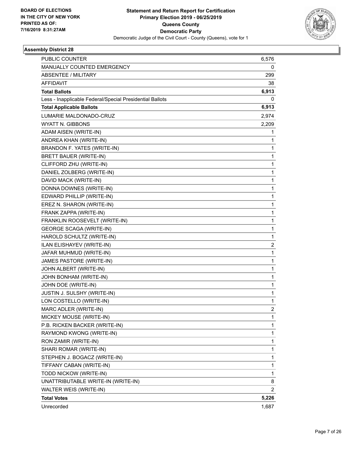

| <b>PUBLIC COUNTER</b>                                    | 6,576          |
|----------------------------------------------------------|----------------|
| MANUALLY COUNTED EMERGENCY                               | 0              |
| <b>ABSENTEE / MILITARY</b>                               | 299            |
| <b>AFFIDAVIT</b>                                         | 38             |
| <b>Total Ballots</b>                                     | 6,913          |
| Less - Inapplicable Federal/Special Presidential Ballots | 0              |
| <b>Total Applicable Ballots</b>                          | 6,913          |
| LUMARIE MALDONADO-CRUZ                                   | 2,974          |
| WYATT N. GIBBONS                                         | 2,209          |
| ADAM AISEN (WRITE-IN)                                    | 1              |
| ANDREA KHAN (WRITE-IN)                                   | 1              |
| BRANDON F. YATES (WRITE-IN)                              | 1              |
| <b>BRETT BAUER (WRITE-IN)</b>                            | 1              |
| CLIFFORD ZHU (WRITE-IN)                                  | 1              |
| DANIEL ZOLBERG (WRITE-IN)                                | 1              |
| DAVID MACK (WRITE-IN)                                    | 1              |
| DONNA DOWNES (WRITE-IN)                                  | $\mathbf{1}$   |
| EDWARD PHILLIP (WRITE-IN)                                | 1              |
| EREZ N. SHARON (WRITE-IN)                                | 1              |
| FRANK ZAPPA (WRITE-IN)                                   | 1              |
| FRANKLIN ROOSEVELT (WRITE-IN)                            | 1              |
| <b>GEORGE SCAGA (WRITE-IN)</b>                           | 1              |
| HAROLD SCHULTZ (WRITE-IN)                                | $\mathbf{1}$   |
| ILAN ELISHAYEV (WRITE-IN)                                | 2              |
| JAFAR MUHMUD (WRITE-IN)                                  | 1              |
| JAMES PASTORE (WRITE-IN)                                 | 1              |
| JOHN ALBERT (WRITE-IN)                                   | 1              |
| JOHN BONHAM (WRITE-IN)                                   | 1              |
| JOHN DOE (WRITE-IN)                                      | $\mathbf{1}$   |
| JUSTIN J. SULSHY (WRITE-IN)                              | 1              |
| LON COSTELLO (WRITE-IN)                                  | 1              |
| MARC ADLER (WRITE-IN)                                    | $\overline{2}$ |
| MICKEY MOUSE (WRITE-IN)                                  | 1              |
| P.B. RICKEN BACKER (WRITE-IN)                            | 1              |
| RAYMOND KWONG (WRITE-IN)                                 | 1              |
| RON ZAMIR (WRITE-IN)                                     | 1              |
| SHARI ROMAR (WRITE-IN)                                   | 1              |
| STEPHEN J. BOGACZ (WRITE-IN)                             | 1              |
| TIFFANY CABAN (WRITE-IN)                                 | 1              |
| TODD NICKOW (WRITE-IN)                                   | 1              |
| UNATTRIBUTABLE WRITE-IN (WRITE-IN)                       | 8              |
| WALTER WEIS (WRITE-IN)                                   | 2              |
| <b>Total Votes</b>                                       | 5,226          |
| Unrecorded                                               | 1,687          |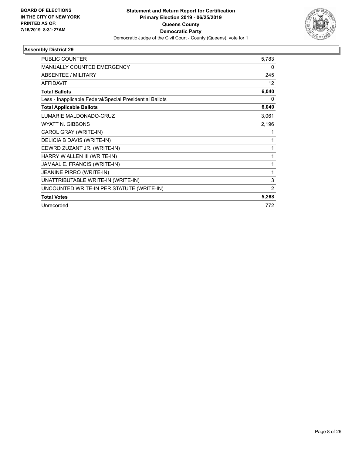

| <b>PUBLIC COUNTER</b>                                    | 5,783          |
|----------------------------------------------------------|----------------|
| <b>MANUALLY COUNTED EMERGENCY</b>                        | 0              |
| <b>ABSENTEE / MILITARY</b>                               | 245            |
| <b>AFFIDAVIT</b>                                         | 12             |
| <b>Total Ballots</b>                                     | 6,040          |
| Less - Inapplicable Federal/Special Presidential Ballots | 0              |
| <b>Total Applicable Ballots</b>                          | 6,040          |
| LUMARIE MALDONADO-CRUZ                                   | 3,061          |
| <b>WYATT N. GIBBONS</b>                                  | 2,196          |
| CAROL GRAY (WRITE-IN)                                    | 1              |
| DELICIA B DAVIS (WRITE-IN)                               | 1              |
| EDWRD ZUZANT JR. (WRITE-IN)                              | 1              |
| HARRY W ALLEN III (WRITE-IN)                             | 1              |
| JAMAAL E. FRANCIS (WRITE-IN)                             | 1              |
| JEANINE PIRRO (WRITE-IN)                                 | 1              |
| UNATTRIBUTABLE WRITE-IN (WRITE-IN)                       | 3              |
| UNCOUNTED WRITE-IN PER STATUTE (WRITE-IN)                | $\overline{2}$ |
| <b>Total Votes</b>                                       | 5,268          |
| Unrecorded                                               | 772            |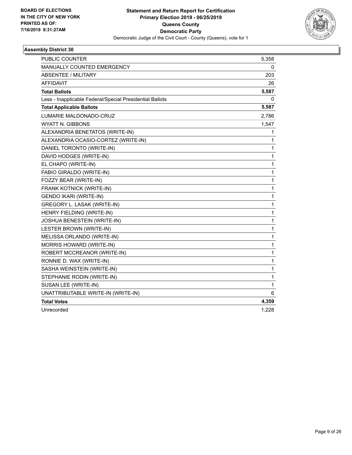

| <b>PUBLIC COUNTER</b>                                    | 5,358        |
|----------------------------------------------------------|--------------|
| <b>MANUALLY COUNTED EMERGENCY</b>                        | 0            |
| <b>ABSENTEE / MILITARY</b>                               | 203          |
| <b>AFFIDAVIT</b>                                         | 26           |
| <b>Total Ballots</b>                                     | 5,587        |
| Less - Inapplicable Federal/Special Presidential Ballots | 0            |
| <b>Total Applicable Ballots</b>                          | 5,587        |
| LUMARIE MALDONADO-CRUZ                                   | 2,786        |
| <b>WYATT N. GIBBONS</b>                                  | 1,547        |
| ALEXANDRIA BENETATOS (WRITE-IN)                          | 1            |
| ALEXANDRIA OCASIO-CORTEZ (WRITE-IN)                      | 1            |
| DANIEL TORONTO (WRITE-IN)                                | 1            |
| DAVID HODGES (WRITE-IN)                                  | 1            |
| EL CHAPO (WRITE-IN)                                      | 1            |
| FABIO GIRALDO (WRITE-IN)                                 | 1            |
| FOZZY BEAR (WRITE-IN)                                    | 1            |
| FRANK KOTNICK (WRITE-IN)                                 | $\mathbf{1}$ |
| GENDO IKARI (WRITE-IN)                                   | 1            |
| GREGORY L. LASAK (WRITE-IN)                              | 1            |
| HENRY FIELDING (WRITE-IN)                                | 1            |
| JOSHUA BENESTEIN (WRITE-IN)                              | 1            |
| LESTER BROWN (WRITE-IN)                                  | 1            |
| MELISSA ORLANDO (WRITE-IN)                               | 1            |
| MORRIS HOWARD (WRITE-IN)                                 | 1            |
| ROBERT MCCREANOR (WRITE-IN)                              | 1            |
| RONNIE D. WAX (WRITE-IN)                                 | 1            |
| SASHA WEINSTEIN (WRITE-IN)                               | 1            |
| STEPHANIE RODIN (WRITE-IN)                               | $\mathbf{1}$ |
| SUSAN LEE (WRITE-IN)                                     | $\mathbf{1}$ |
| UNATTRIBUTABLE WRITE-IN (WRITE-IN)                       | 6            |
| <b>Total Votes</b>                                       | 4,359        |
| Unrecorded                                               | 1.228        |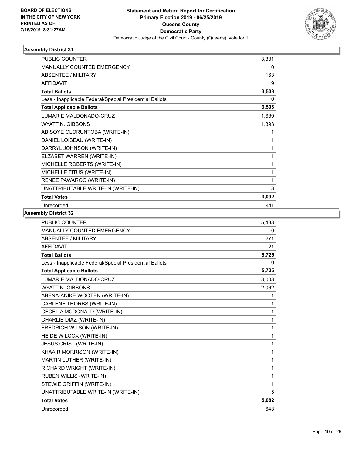

| <b>PUBLIC COUNTER</b>                                    | 3,331 |
|----------------------------------------------------------|-------|
| <b>MANUALLY COUNTED EMERGENCY</b>                        | 0     |
| ABSENTEE / MILITARY                                      | 163   |
| AFFIDAVIT                                                | 9     |
| <b>Total Ballots</b>                                     | 3,503 |
| Less - Inapplicable Federal/Special Presidential Ballots | 0     |
| <b>Total Applicable Ballots</b>                          | 3,503 |
| LUMARIE MALDONADO-CRUZ                                   | 1,689 |
| <b>WYATT N. GIBBONS</b>                                  | 1,393 |
| ABISOYE OLORUNTOBA (WRITE-IN)                            | 1     |
| DANIEL LOISEAU (WRITE-IN)                                | 1     |
| DARRYL JOHNSON (WRITE-IN)                                | 1     |
| ELZABET WARREN (WRITE-IN)                                | 1     |
| MICHELLE ROBERTS (WRITE-IN)                              | 1     |
| MICHELLE TITUS (WRITE-IN)                                | 1     |
| RENEE PAWAROO (WRITE-IN)                                 | 1     |
| UNATTRIBUTABLE WRITE-IN (WRITE-IN)                       | 3     |
| <b>Total Votes</b>                                       | 3,092 |
| Unrecorded                                               | 411   |

| <b>PUBLIC COUNTER</b>                                    | 5,433        |
|----------------------------------------------------------|--------------|
| <b>MANUALLY COUNTED EMERGENCY</b>                        | 0            |
| ABSENTEE / MILITARY                                      | 271          |
| <b>AFFIDAVIT</b>                                         | 21           |
| <b>Total Ballots</b>                                     | 5,725        |
| Less - Inapplicable Federal/Special Presidential Ballots | $\mathbf{0}$ |
| <b>Total Applicable Ballots</b>                          | 5,725        |
| LUMARIE MALDONADO-CRUZ                                   | 3,003        |
| <b>WYATT N. GIBBONS</b>                                  | 2,062        |
| ABENA-ANIKE WOOTEN (WRITE-IN)                            | 1            |
| CARLENE THORBS (WRITE-IN)                                | 1            |
| CECELIA MCDONALD (WRITE-IN)                              | 1            |
| CHARLIE DIAZ (WRITE-IN)                                  | 1            |
| FREDRICH WILSON (WRITE-IN)                               | 1            |
| HEIDE WILCOX (WRITE-IN)                                  | 1            |
| <b>JESUS CRIST (WRITE-IN)</b>                            | 1            |
| KHAAIR MORRISON (WRITE-IN)                               | 1            |
| MARTIN LUTHER (WRITE-IN)                                 | 1            |
| RICHARD WRIGHT (WRITE-IN)                                | 1            |
| RUBEN WILLIS (WRITE-IN)                                  | 1            |
| STEWIE GRIFFIN (WRITE-IN)                                | 1            |
| UNATTRIBUTABLE WRITE-IN (WRITE-IN)                       | 5            |
| <b>Total Votes</b>                                       | 5,082        |
| Unrecorded                                               | 643          |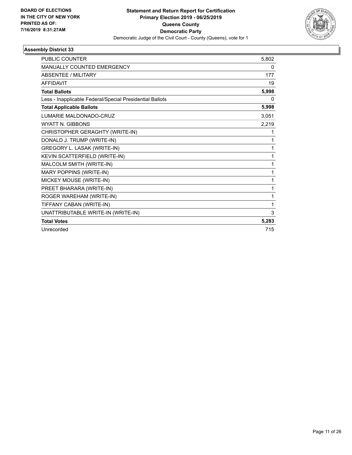

| <b>PUBLIC COUNTER</b>                                    | 5,802 |
|----------------------------------------------------------|-------|
| <b>MANUALLY COUNTED EMERGENCY</b>                        | 0     |
| ABSENTEE / MILITARY                                      | 177   |
| <b>AFFIDAVIT</b>                                         | 19    |
| <b>Total Ballots</b>                                     | 5,998 |
| Less - Inapplicable Federal/Special Presidential Ballots | 0     |
| <b>Total Applicable Ballots</b>                          | 5,998 |
| LUMARIE MALDONADO-CRUZ                                   | 3,051 |
| <b>WYATT N. GIBBONS</b>                                  | 2,219 |
| CHRISTOPHER GERAGHTY (WRITE-IN)                          | 1     |
| DONALD J. TRUMP (WRITE-IN)                               | 1     |
| GREGORY L. LASAK (WRITE-IN)                              | 1     |
| KEVIN SCATTERFIELD (WRITE-IN)                            | 1     |
| MALCOLM SMITH (WRITE-IN)                                 | 1     |
| MARY POPPINS (WRITE-IN)                                  | 1     |
| MICKEY MOUSE (WRITE-IN)                                  | 1     |
| PREET BHARARA (WRITE-IN)                                 | 1     |
| ROGER WAREHAM (WRITE-IN)                                 | 1     |
| TIFFANY CABAN (WRITE-IN)                                 | 1     |
| UNATTRIBUTABLE WRITE-IN (WRITE-IN)                       | 3     |
| <b>Total Votes</b>                                       | 5,283 |
| Unrecorded                                               | 715   |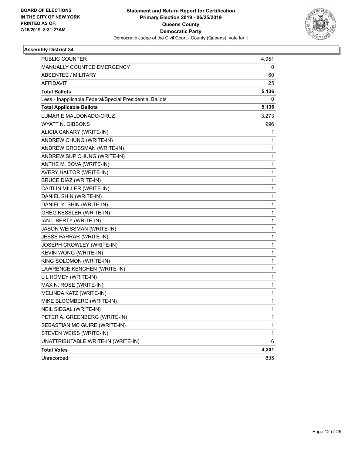

| PUBLIC COUNTER                                           | 4,951 |
|----------------------------------------------------------|-------|
| MANUALLY COUNTED EMERGENCY                               | 0     |
| <b>ABSENTEE / MILITARY</b>                               | 160   |
| <b>AFFIDAVIT</b>                                         | 25    |
| <b>Total Ballots</b>                                     | 5,136 |
| Less - Inapplicable Federal/Special Presidential Ballots | 0     |
| <b>Total Applicable Ballots</b>                          | 5,136 |
| LUMARIE MALDONADO-CRUZ                                   | 3,273 |
| WYATT N. GIBBONS                                         | 996   |
| ALICIA CANARY (WRITE-IN)                                 | 1     |
| ANDREW CHUNG (WRITE-IN)                                  | 1     |
| ANDREW GROSSMAN (WRITE-IN)                               | 1     |
| ANDREW SUP CHUNG (WRITE-IN)                              | 1     |
| ANTHE M. BOVA (WRITE-IN)                                 | 1     |
| AVERY HALTOR (WRITE-IN)                                  | 1     |
| <b>BRUCE DIAZ (WRITE-IN)</b>                             | 1     |
| CAITLIN MILLER (WRITE-IN)                                | 1     |
| DANIEL SHIN (WRITE-IN)                                   | 1     |
| DANIEL Y. SHIN (WRITE-IN)                                | 1     |
| <b>GREG KESSLER (WRITE-IN)</b>                           | 1     |
| IAN LIBERTY (WRITE-IN)                                   | 1     |
| JASON WEISSMAN (WRITE-IN)                                | 1     |
| JESSE FARRAR (WRITE-IN)                                  | 1     |
| JOSEPH CROWLEY (WRITE-IN)                                | 1     |
| KEVIN WONG (WRITE-IN)                                    | 1     |
| KING SOLOMON (WRITE-IN)                                  | 1     |
| LAWRENCE KENCHEN (WRITE-IN)                              | 1     |
| LIL HOMEY (WRITE-IN)                                     | 1     |
| MAX N. ROSE (WRITE-IN)                                   | 1     |
| MELINDA KATZ (WRITE-IN)                                  | 1     |
| MIKE BLOOMBERG (WRITE-IN)                                | 1     |
| NEIL SIEGAL (WRITE-IN)                                   | 1     |
| PETER A. GREENBERG (WRITE-IN)                            | 1     |
| SEBASTIAN MC GUIRE (WRITE-IN)                            | 1     |
| STEVEN WEISS (WRITE-IN)                                  | 1     |
| UNATTRIBUTABLE WRITE-IN (WRITE-IN)                       | 6     |
| <b>Total Votes</b>                                       | 4,301 |
| Unrecorded                                               | 835   |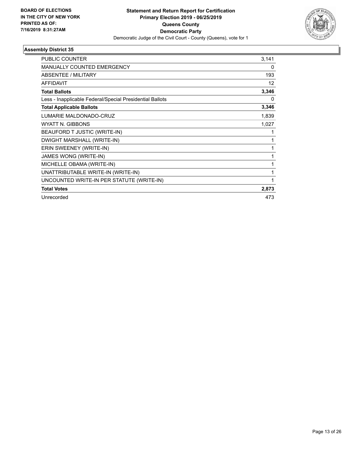

| <b>PUBLIC COUNTER</b>                                    | 3,141 |
|----------------------------------------------------------|-------|
| <b>MANUALLY COUNTED EMERGENCY</b>                        | 0     |
| ABSENTEE / MILITARY                                      | 193   |
| <b>AFFIDAVIT</b>                                         | 12    |
| <b>Total Ballots</b>                                     | 3,346 |
| Less - Inapplicable Federal/Special Presidential Ballots | 0     |
| <b>Total Applicable Ballots</b>                          | 3,346 |
| LUMARIE MALDONADO-CRUZ                                   | 1,839 |
| <b>WYATT N. GIBBONS</b>                                  | 1,027 |
| BEAUFORD T JUSTIC (WRITE-IN)                             |       |
| DWIGHT MARSHALL (WRITE-IN)                               | 1     |
| ERIN SWEENEY (WRITE-IN)                                  |       |
| JAMES WONG (WRITE-IN)                                    |       |
| MICHELLE OBAMA (WRITE-IN)                                | 1     |
| UNATTRIBUTABLE WRITE-IN (WRITE-IN)                       | 1     |
| UNCOUNTED WRITE-IN PER STATUTE (WRITE-IN)                | 1     |
| <b>Total Votes</b>                                       | 2,873 |
| Unrecorded                                               | 473   |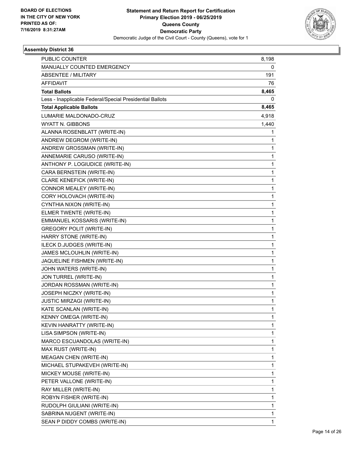

| <b>PUBLIC COUNTER</b>                                    | 8,198        |
|----------------------------------------------------------|--------------|
| MANUALLY COUNTED EMERGENCY                               | 0            |
| <b>ABSENTEE / MILITARY</b>                               | 191          |
| AFFIDAVIT                                                | 76           |
| <b>Total Ballots</b>                                     | 8,465        |
| Less - Inapplicable Federal/Special Presidential Ballots | 0            |
| <b>Total Applicable Ballots</b>                          | 8,465        |
| LUMARIE MALDONADO-CRUZ                                   | 4,918        |
| WYATT N. GIBBONS                                         | 1,440        |
| ALANNA ROSENBLATT (WRITE-IN)                             | 1            |
| ANDREW DEGROM (WRITE-IN)                                 | 1            |
| ANDREW GROSSMAN (WRITE-IN)                               | 1            |
| ANNEMARIE CARUSO (WRITE-IN)                              | 1            |
| ANTHONY P. LOGIUDICE (WRITE-IN)                          | $\mathbf{1}$ |
| CARA BERNSTEIN (WRITE-IN)                                | 1            |
| CLARE KENEFICK (WRITE-IN)                                | 1            |
| CONNOR MEALEY (WRITE-IN)                                 | 1            |
| CORY HOLOVACH (WRITE-IN)                                 | 1            |
| CYNTHIA NIXON (WRITE-IN)                                 | 1            |
| ELMER TWENTE (WRITE-IN)                                  | $\mathbf{1}$ |
| EMMANUEL KOSSARIS (WRITE-IN)                             | 1            |
| <b>GREGORY POLIT (WRITE-IN)</b>                          | 1            |
| HARRY STONE (WRITE-IN)                                   | 1            |
| ILECK D.JUDGES (WRITE-IN)                                | 1            |
| JAMES MCLOUHLIN (WRITE-IN)                               | 1            |
| JAQUELINE FISHMEN (WRITE-IN)                             | $\mathbf{1}$ |
| JOHN WATERS (WRITE-IN)                                   | 1            |
| JON TURREL (WRITE-IN)                                    | 1            |
| JORDAN ROSSMAN (WRITE-IN)                                | 1            |
| JOSEPH NICZKY (WRITE-IN)                                 | 1            |
| <b>JUSTIC MIRZAGI (WRITE-IN)</b>                         | 1            |
| KATE SCANLAN (WRITE-IN)                                  | 1            |
| KENNY OMEGA (WRITE-IN)                                   | 1            |
| KEVIN HANRATTY (WRITE-IN)                                | 1            |
| LISA SIMPSON (WRITE-IN)                                  | 1            |
| MARCO ESCUANDOLAS (WRITE-IN)                             | 1            |
| MAX RUST (WRITE-IN)                                      | 1            |
| MEAGAN CHEN (WRITE-IN)                                   | 1            |
| MICHAEL STUPAKEVEH (WRITE-IN)                            | 1            |
| MICKEY MOUSE (WRITE-IN)                                  | 1            |
| PETER VALLONE (WRITE-IN)                                 | 1            |
| RAY MILLER (WRITE-IN)                                    | 1            |
| ROBYN FISHER (WRITE-IN)                                  | 1            |
| RUDOLPH GIULIANI (WRITE-IN)                              | 1            |
| SABRINA NUGENT (WRITE-IN)                                | 1            |
| SEAN P DIDDY COMBS (WRITE-IN)                            | 1            |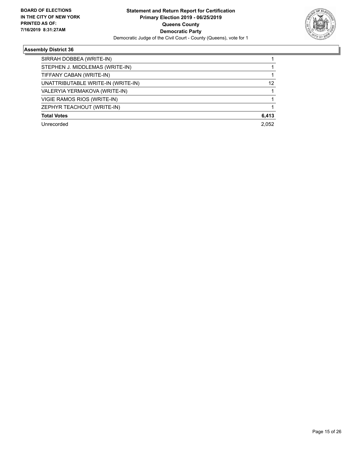

| SIRRAH DOBBEA (WRITE-IN)<br>STEPHEN J. MIDDLEMAS (WRITE-IN)<br>TIFFANY CABAN (WRITE-IN)<br>UNATTRIBUTABLE WRITE-IN (WRITE-IN)<br>VALERYIA YERMAKOVA (WRITE-IN)<br>VIGIE RAMOS RIOS (WRITE-IN)<br>ZEPHYR TEACHOUT (WRITE-IN)<br><b>Total Votes</b><br>2.052<br>Unrecorded |       |
|--------------------------------------------------------------------------------------------------------------------------------------------------------------------------------------------------------------------------------------------------------------------------|-------|
|                                                                                                                                                                                                                                                                          |       |
|                                                                                                                                                                                                                                                                          |       |
|                                                                                                                                                                                                                                                                          |       |
|                                                                                                                                                                                                                                                                          | 12    |
|                                                                                                                                                                                                                                                                          |       |
|                                                                                                                                                                                                                                                                          |       |
|                                                                                                                                                                                                                                                                          |       |
|                                                                                                                                                                                                                                                                          | 6,413 |
|                                                                                                                                                                                                                                                                          |       |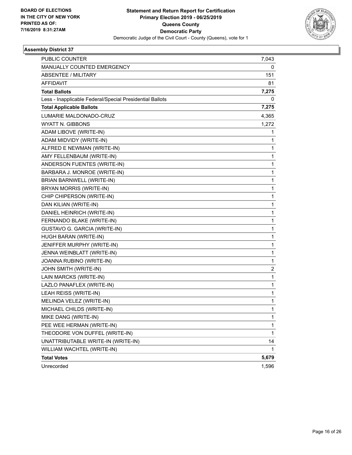

| <b>PUBLIC COUNTER</b>                                    | 7,043 |
|----------------------------------------------------------|-------|
| MANUALLY COUNTED EMERGENCY                               | 0     |
| <b>ABSENTEE / MILITARY</b>                               | 151   |
| <b>AFFIDAVIT</b>                                         | 81    |
| <b>Total Ballots</b>                                     | 7,275 |
| Less - Inapplicable Federal/Special Presidential Ballots | 0     |
| <b>Total Applicable Ballots</b>                          | 7,275 |
| LUMARIE MALDONADO-CRUZ                                   | 4,365 |
| <b>WYATT N. GIBBONS</b>                                  | 1,272 |
| ADAM LIBOVE (WRITE-IN)                                   | 1     |
| ADAM MIDVIDY (WRITE-IN)                                  | 1     |
| ALFRED E NEWMAN (WRITE-IN)                               | 1     |
| AMY FELLENBAUM (WRITE-IN)                                | 1     |
| ANDERSON FUENTES (WRITE-IN)                              | 1     |
| BARBARA J. MONROE (WRITE-IN)                             | 1     |
| BRIAN BARNWELL (WRITE-IN)                                | 1     |
| BRYAN MORRIS (WRITE-IN)                                  | 1     |
| CHIP CHIPERSON (WRITE-IN)                                | 1     |
| DAN KILIAN (WRITE-IN)                                    | 1     |
| DANIEL HEINRICH (WRITE-IN)                               | 1     |
| FERNANDO BLAKE (WRITE-IN)                                | 1     |
| GUSTAVO G. GARCIA (WRITE-IN)                             | 1     |
| HUGH BARAN (WRITE-IN)                                    | 1     |
| JENIFFER MURPHY (WRITE-IN)                               | 1     |
| JENNA WEINBLATT (WRITE-IN)                               | 1     |
| JOANNA RUBINO (WRITE-IN)                                 | 1     |
| JOHN SMITH (WRITE-IN)                                    | 2     |
| LAIN MARCKS (WRITE-IN)                                   | 1     |
| LAZLO PANAFLEX (WRITE-IN)                                | 1     |
| <b>LEAH REISS (WRITE-IN)</b>                             | 1     |
| MELINDA VELEZ (WRITE-IN)                                 | 1     |
| MICHAEL CHILDS (WRITE-IN)                                | 1     |
| MIKE DANG (WRITE-IN)                                     | 1     |
| PEE WEE HERMAN (WRITE-IN)                                | 1     |
| THEODORE VON DUFFEL (WRITE-IN)                           | 1     |
| UNATTRIBUTABLE WRITE-IN (WRITE-IN)                       | 14    |
| WILLIAM WACHTEL (WRITE-IN)                               | 1     |
| <b>Total Votes</b>                                       | 5,679 |
| Unrecorded                                               | 1,596 |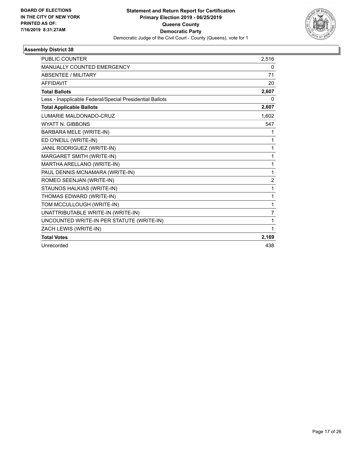

| <b>PUBLIC COUNTER</b>                                    | 2,516          |
|----------------------------------------------------------|----------------|
| MANUALLY COUNTED EMERGENCY                               | 0              |
| <b>ABSENTEE / MILITARY</b>                               | 71             |
| <b>AFFIDAVIT</b>                                         | 20             |
| <b>Total Ballots</b>                                     | 2,607          |
| Less - Inapplicable Federal/Special Presidential Ballots | 0              |
| <b>Total Applicable Ballots</b>                          | 2,607          |
| LUMARIE MALDONADO-CRUZ                                   | 1,602          |
| <b>WYATT N. GIBBONS</b>                                  | 547            |
| BARBARA MELE (WRITE-IN)                                  | 1              |
| ED O'NEILL (WRITE-IN)                                    | 1              |
| JANIL RODRIGUEZ (WRITE-IN)                               | 1              |
| MARGARET SMITH (WRITE-IN)                                | 1              |
| MARTHA ARELLANO (WRITE-IN)                               | 1              |
| PAUL DENNIS MCNAMARA (WRITE-IN)                          | 1              |
| ROMEO SEENJAN (WRITE-IN)                                 | $\overline{2}$ |
| STAUNOS HALKIAS (WRITE-IN)                               | 1              |
| THOMAS EDWARD (WRITE-IN)                                 | 1              |
| TOM MCCULLOUGH (WRITE-IN)                                | 1              |
| UNATTRIBUTABLE WRITE-IN (WRITE-IN)                       | $\overline{7}$ |
| UNCOUNTED WRITE-IN PER STATUTE (WRITE-IN)                | 1              |
| ZACH LEWIS (WRITE-IN)                                    | 1              |
| <b>Total Votes</b>                                       | 2,169          |
| Unrecorded                                               | 438            |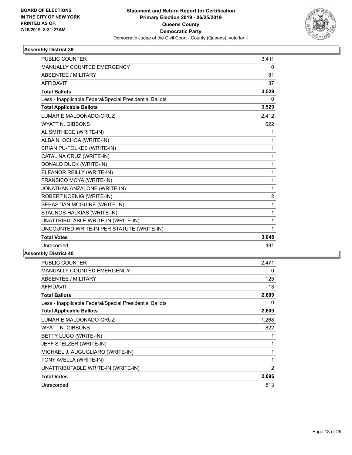

| <b>PUBLIC COUNTER</b>                                    | 3.411          |
|----------------------------------------------------------|----------------|
| MANUALLY COUNTED EMERGENCY                               | 0              |
| <b>ABSENTEE / MILITARY</b>                               | 81             |
| <b>AFFIDAVIT</b>                                         | 37             |
| <b>Total Ballots</b>                                     | 3,529          |
| Less - Inapplicable Federal/Special Presidential Ballots | 0              |
| <b>Total Applicable Ballots</b>                          | 3,529          |
| LUMARIE MALDONADO-CRUZ                                   | 2,412          |
| <b>WYATT N. GIBBONS</b>                                  | 622            |
| AL SMITHECE (WRITE-IN)                                   | 1              |
| ALBA N. OCHOA (WRITE-IN)                                 | 1              |
| <b>BRIAN PU-FOLKES (WRITE-IN)</b>                        | 1              |
| CATALINA CRUZ (WRITE-IN)                                 | 1              |
| DONALD DUCK (WRITE-IN)                                   | 1              |
| ELEANOR REILLY (WRITE-IN)                                | 1              |
| FRANSICO MOYA (WRITE-IN)                                 | 1              |
| JONATHAN ANZALONE (WRITE-IN)                             | 1              |
| ROBERT KOENIG (WRITE-IN)                                 | $\overline{c}$ |
| SEBASTIAN MCGUIRE (WRITE-IN)                             | 1              |
| STAUNOS HALKIAS (WRITE-IN)                               | 1              |
| UNATTRIBUTABLE WRITE-IN (WRITE-IN)                       | 1              |
| UNCOUNTED WRITE-IN PER STATUTE (WRITE-IN)                | 1              |
| <b>Total Votes</b>                                       | 3,048          |
| Unrecorded                                               | 481            |

| PUBLIC COUNTER                                           | 2,471 |
|----------------------------------------------------------|-------|
| MANUALLY COUNTED EMERGENCY                               | 0     |
| <b>ABSENTEE / MILITARY</b>                               | 125   |
| AFFIDAVIT                                                | 13    |
| <b>Total Ballots</b>                                     | 2,609 |
| Less - Inapplicable Federal/Special Presidential Ballots | 0     |
| <b>Total Applicable Ballots</b>                          | 2,609 |
| LUMARIE MALDONADO-CRUZ                                   | 1,268 |
| WYATT N. GIBBONS                                         | 822   |
| BETTY LUGO (WRITE-IN)                                    | 1     |
| JEFF STELZER (WRITE-IN)                                  | 1     |
| MICHAEL J. AUGUGLIARO (WRITE-IN)                         | 1     |
| TONY AVELLA (WRITE-IN)                                   | 1     |
| UNATTRIBUTABLE WRITE-IN (WRITE-IN)                       | 2     |
| <b>Total Votes</b>                                       | 2,096 |
| Unrecorded                                               | 513   |
|                                                          |       |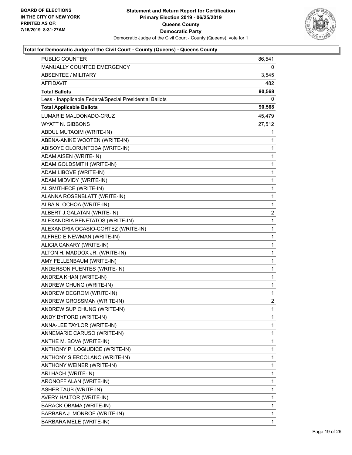

| <b>PUBLIC COUNTER</b>                                    | 86,541       |
|----------------------------------------------------------|--------------|
| MANUALLY COUNTED EMERGENCY                               | 0            |
| <b>ABSENTEE / MILITARY</b>                               | 3,545        |
| AFFIDAVIT                                                | 482          |
| <b>Total Ballots</b>                                     | 90,568       |
| Less - Inapplicable Federal/Special Presidential Ballots | 0            |
| <b>Total Applicable Ballots</b>                          | 90,568       |
| LUMARIE MALDONADO-CRUZ                                   | 45,479       |
| <b>WYATT N. GIBBONS</b>                                  | 27,512       |
| ABDUL MUTAQIM (WRITE-IN)                                 | 1            |
| ABENA-ANIKE WOOTEN (WRITE-IN)                            | 1            |
| ABISOYE OLORUNTOBA (WRITE-IN)                            | 1            |
| ADAM AISEN (WRITE-IN)                                    | 1            |
| ADAM GOLDSMITH (WRITE-IN)                                | 1            |
| ADAM LIBOVE (WRITE-IN)                                   | 1            |
| ADAM MIDVIDY (WRITE-IN)                                  | $\mathbf{1}$ |
| AL SMITHECE (WRITE-IN)                                   | 1            |
| ALANNA ROSENBLATT (WRITE-IN)                             | 1            |
| ALBA N. OCHOA (WRITE-IN)                                 | 1            |
| ALBERT J.GALATAN (WRITE-IN)                              | 2            |
| ALEXANDRIA BENETATOS (WRITE-IN)                          | 1            |
| ALEXANDRIA OCASIO-CORTEZ (WRITE-IN)                      | $\mathbf{1}$ |
| ALFRED E NEWMAN (WRITE-IN)                               | 1            |
| ALICIA CANARY (WRITE-IN)                                 | 1            |
| ALTON H. MADDOX JR. (WRITE-IN)                           | 1            |
| AMY FELLENBAUM (WRITE-IN)                                | 1            |
| ANDERSON FUENTES (WRITE-IN)                              | 1            |
| ANDREA KHAN (WRITE-IN)                                   | $\mathbf{1}$ |
| ANDREW CHUNG (WRITE-IN)                                  | 1            |
| ANDREW DEGROM (WRITE-IN)                                 | 1            |
| ANDREW GROSSMAN (WRITE-IN)                               | 2            |
| ANDREW SUP CHUNG (WRITE-IN)                              | 1            |
| ANDY BYFORD (WRITE-IN)                                   | 1            |
| ANNA-LEE TAYLOR (WRITE-IN)                               | 1            |
| ANNEMARIE CARUSO (WRITE-IN)                              | 1            |
| ANTHE M. BOVA (WRITE-IN)                                 | 1            |
| ANTHONY P. LOGIUDICE (WRITE-IN)                          | 1            |
| ANTHONY S ERCOLANO (WRITE-IN)                            | 1            |
| ANTHONY WEINER (WRITE-IN)                                | 1            |
| ARI HACH (WRITE-IN)                                      | 1            |
| ARONOFF ALAN (WRITE-IN)                                  | 1            |
| ASHER TAUB (WRITE-IN)                                    | 1            |
| AVERY HALTOR (WRITE-IN)                                  | 1            |
| BARACK OBAMA (WRITE-IN)                                  | 1            |
| BARBARA J. MONROE (WRITE-IN)                             | 1            |
| BARBARA MELE (WRITE-IN)                                  | 1            |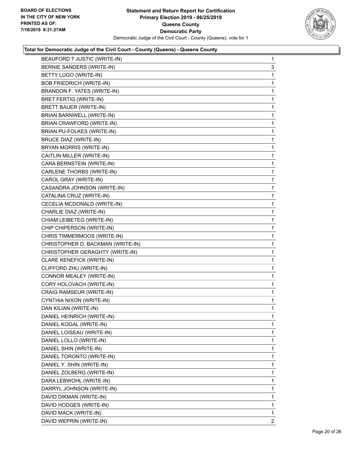

| 3<br>1<br>1<br>1<br>1<br>1<br>1<br>1 |
|--------------------------------------|
|                                      |
|                                      |
|                                      |
|                                      |
|                                      |
|                                      |
|                                      |
|                                      |
| 1                                    |
| 1                                    |
| 1                                    |
| 1                                    |
| 1                                    |
| 1                                    |
| 1                                    |
| 1                                    |
| 1                                    |
| 1                                    |
| 1                                    |
| 1                                    |
| 1                                    |
| 1                                    |
| 1                                    |
| 1                                    |
| 1                                    |
| 1                                    |
| 1                                    |
| 1                                    |
| 1                                    |
| 1                                    |
| 1                                    |
| 1                                    |
| 1                                    |
| 1                                    |
| 1                                    |
| 1                                    |
| 1                                    |
| 1                                    |
| 1                                    |
| 1                                    |
|                                      |
| 1                                    |
| 1                                    |
| 1                                    |
| 1                                    |
|                                      |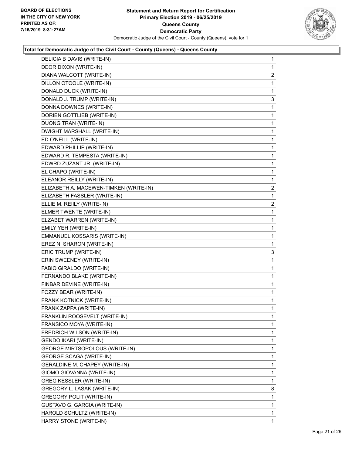

| DELICIA B DAVIS (WRITE-IN)             | 1                       |
|----------------------------------------|-------------------------|
| DEOR DIXON (WRITE-IN)                  | 1                       |
| DIANA WALCOTT (WRITE-IN)               | $\overline{\mathbf{c}}$ |
| DILLON OTOOLE (WRITE-IN)               | 1                       |
| DONALD DUCK (WRITE-IN)                 | 1                       |
| DONALD J. TRUMP (WRITE-IN)             | 3                       |
| DONNA DOWNES (WRITE-IN)                | 1                       |
| DORIEN GOTTLIEB (WRITE-IN)             | 1                       |
| DUONG TRAN (WRITE-IN)                  | 1                       |
| DWIGHT MARSHALL (WRITE-IN)             | 1                       |
| ED O'NEILL (WRITE-IN)                  | 1                       |
| EDWARD PHILLIP (WRITE-IN)              | 1                       |
| EDWARD R. TEMPESTA (WRITE-IN)          | 1                       |
| EDWRD ZUZANT JR. (WRITE-IN)            | 1                       |
| EL CHAPO (WRITE-IN)                    | 1                       |
| ELEANOR REILLY (WRITE-IN)              | 1                       |
| ELIZABETH A. MACEWEN-TIMKEN (WRITE-IN) | 2                       |
| ELIZABETH FASSLER (WRITE-IN)           | 1                       |
| ELLIE M. REIILY (WRITE-IN)             | 2                       |
| ELMER TWENTE (WRITE-IN)                | 1                       |
| ELZABET WARREN (WRITE-IN)              | 1                       |
| EMILY YEH (WRITE-IN)                   | 1                       |
| EMMANUEL KOSSARIS (WRITE-IN)           | 1                       |
| EREZ N. SHARON (WRITE-IN)              | 1                       |
| ERIC TRUMP (WRITE-IN)                  | 3                       |
| ERIN SWEENEY (WRITE-IN)                | 1                       |
| FABIO GIRALDO (WRITE-IN)               | 1                       |
| FERNANDO BLAKE (WRITE-IN)              | 1                       |
| FINBAR DEVINE (WRITE-IN)               | 1                       |
| FOZZY BEAR (WRITE-IN)                  | 1                       |
| FRANK KOTNICK (WRITE-IN)               | 1                       |
| FRANK ZAPPA (WRITE-IN)                 | 1                       |
| FRANKLIN ROOSEVELT (WRITE-IN)          | 1                       |
| FRANSICO MOYA (WRITE-IN)               | 1                       |
| FREDRICH WILSON (WRITE-IN)             | 1                       |
| GENDO IKARI (WRITE-IN)                 | 1                       |
| <b>GEORGE MIRTSOPOLOUS (WRITE-IN)</b>  | 1                       |
| <b>GEORGE SCAGA (WRITE-IN)</b>         | 1                       |
| GERALDINE M. CHAPEY (WRITE-IN)         | 1                       |
| GIOMO GIOVANNA (WRITE-IN)              | 1                       |
| <b>GREG KESSLER (WRITE-IN)</b>         | 1                       |
| GREGORY L. LASAK (WRITE-IN)            | 8                       |
| <b>GREGORY POLIT (WRITE-IN)</b>        | 1                       |
| GUSTAVO G. GARCIA (WRITE-IN)           | 1                       |
| HAROLD SCHULTZ (WRITE-IN)              | 1                       |
| HARRY STONE (WRITE-IN)                 | 1                       |
|                                        |                         |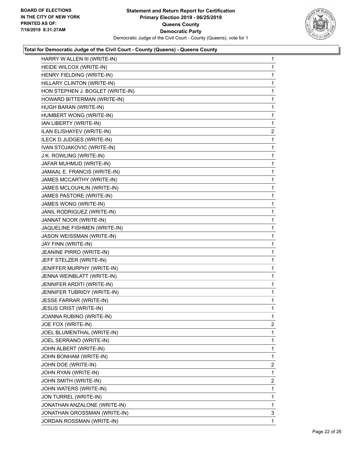

| HARRY W ALLEN III (WRITE-IN)     | 1                       |
|----------------------------------|-------------------------|
| HEIDE WILCOX (WRITE-IN)          | 1                       |
| HENRY FIELDING (WRITE-IN)        | 1                       |
| HILLARY CLINTON (WRITE-IN)       | 1                       |
| HON STEPHEN J. BOGLET (WRITE-IN) | 1                       |
| HOWARD BITTERMAN (WRITE-IN)      | 1                       |
| HUGH BARAN (WRITE-IN)            | 1                       |
| HUMBERT WONG (WRITE-IN)          | 1                       |
| IAN LIBERTY (WRITE-IN)           | 1                       |
| ILAN ELISHAYEV (WRITE-IN)        | $\overline{\mathbf{c}}$ |
| ILECK D.JUDGES (WRITE-IN)        | 1                       |
| IVAN STOJAKOVIC (WRITE-IN)       | 1                       |
| J.K. ROWLING (WRITE-IN)          | 1                       |
| JAFAR MUHMUD (WRITE-IN)          | 1                       |
| JAMAAL E. FRANCIS (WRITE-IN)     | 1                       |
| JAMES MCCARTHY (WRITE-IN)        | 1                       |
| JAMES MCLOUHLIN (WRITE-IN)       | 1                       |
| JAMES PASTORE (WRITE-IN)         | 1                       |
| JAMES WONG (WRITE-IN)            | 1                       |
| JANIL RODRIGUEZ (WRITE-IN)       | 1                       |
| JANNAT NOOR (WRITE-IN)           | 1                       |
| JAQUELINE FISHMEN (WRITE-IN)     | 1                       |
| JASON WEISSMAN (WRITE-IN)        | 1                       |
| JAY FINN (WRITE-IN)              | 1                       |
| JEANINE PIRRO (WRITE-IN)         | 1                       |
| JEFF STELZER (WRITE-IN)          | 1                       |
| JENIFFER MURPHY (WRITE-IN)       | 1                       |
| JENNA WEINBLATT (WRITE-IN)       | 1                       |
| JENNIFER ARDITI (WRITE-IN)       | 1                       |
| JENNIFER TUBRIDY (WRITE-IN)      | 1                       |
| <b>JESSE FARRAR (WRITE-IN)</b>   | 1                       |
| JESUS CRIST (WRITE-IN)           | 1                       |
| JOANNA RUBINO (WRITE-IN)         | 1                       |
| JOE FOX (WRITE-IN)               | $\overline{2}$          |
| JOEL BLUMENTHAL (WRITE-IN)       | 1                       |
| JOEL SERRANO (WRITE-IN)          | 1                       |
| JOHN ALBERT (WRITE-IN)           | 1                       |
| JOHN BONHAM (WRITE-IN)           | 1                       |
| JOHN DOE (WRITE-IN)              | $\overline{2}$          |
| JOHN RYAN (WRITE-IN)             | 1                       |
| JOHN SMITH (WRITE-IN)            | 2                       |
| JOHN WATERS (WRITE-IN)           | 1                       |
| JON TURREL (WRITE-IN)            | 1                       |
| JONATHAN ANZALONE (WRITE-IN)     | 1                       |
| JONATHAN GROSSMAN (WRITE-IN)     | 3                       |
| JORDAN ROSSMAN (WRITE-IN)        | 1                       |
|                                  |                         |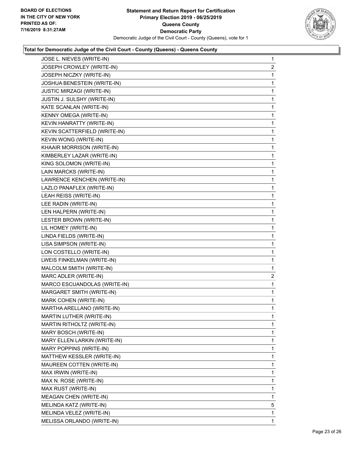

| JOSE L. NIEVES (WRITE-IN)        | $\mathbf{1}$   |
|----------------------------------|----------------|
| JOSEPH CROWLEY (WRITE-IN)        | $\overline{2}$ |
| JOSEPH NICZKY (WRITE-IN)         | 1              |
| JOSHUA BENESTEIN (WRITE-IN)      | $\mathbf 1$    |
| <b>JUSTIC MIRZAGI (WRITE-IN)</b> | 1              |
| JUSTIN J. SULSHY (WRITE-IN)      | 1              |
| KATE SCANLAN (WRITE-IN)          | 1              |
| KENNY OMEGA (WRITE-IN)           | $\mathbf 1$    |
| KEVIN HANRATTY (WRITE-IN)        | 1              |
| KEVIN SCATTERFIELD (WRITE-IN)    | $\mathbf{1}$   |
| KEVIN WONG (WRITE-IN)            | $\mathbf{1}$   |
| KHAAIR MORRISON (WRITE-IN)       | $\mathbf{1}$   |
| KIMBERLEY LAZAR (WRITE-IN)       | 1              |
| KING SOLOMON (WRITE-IN)          | $\mathbf{1}$   |
| LAIN MARCKS (WRITE-IN)           | 1              |
| LAWRENCE KENCHEN (WRITE-IN)      | $\mathbf{1}$   |
| LAZLO PANAFLEX (WRITE-IN)        | $\mathbf{1}$   |
| LEAH REISS (WRITE-IN)            | $\mathbf{1}$   |
| LEE RADIN (WRITE-IN)             | 1              |
| LEN HALPERN (WRITE-IN)           | $\mathbf{1}$   |
| LESTER BROWN (WRITE-IN)          | 1              |
| LIL HOMEY (WRITE-IN)             | $\mathbf{1}$   |
| LINDA FIELDS (WRITE-IN)          | $\mathbf{1}$   |
| LISA SIMPSON (WRITE-IN)          | $\mathbf{1}$   |
| LON COSTELLO (WRITE-IN)          | 1              |
| LWEIS FINKELMAN (WRITE-IN)       | $\mathbf{1}$   |
| MALCOLM SMITH (WRITE-IN)         | 1              |
| MARC ADLER (WRITE-IN)            | 2              |
| MARCO ESCUANDOLAS (WRITE-IN)     | $\mathbf{1}$   |
| MARGARET SMITH (WRITE-IN)        | $\mathbf 1$    |
| MARK COHEN (WRITE-IN)            | 1              |
| MARTHA ARELLANO (WRITE-IN)       | 1              |
| MARTIN LUTHER (WRITE-IN)         | 1              |
| MARTIN RITHOLTZ (WRITE-IN)       | $\mathbf 1$    |
| MARY BOSCH (WRITE-IN)            | 1              |
| MARY ELLEN LARKIN (WRITE-IN)     | 1              |
| MARY POPPINS (WRITE-IN)          | 1              |
| MATTHEW KESSLER (WRITE-IN)       | 1              |
| MAUREEN COTTEN (WRITE-IN)        | 1              |
| MAX IRWIN (WRITE-IN)             | 1              |
| MAX N. ROSE (WRITE-IN)           | 1              |
| MAX RUST (WRITE-IN)              | 1              |
| <b>MEAGAN CHEN (WRITE-IN)</b>    | 1              |
| MELINDA KATZ (WRITE-IN)          | 5              |
| MELINDA VELEZ (WRITE-IN)         | 1              |
| MELISSA ORLANDO (WRITE-IN)       | 1              |
|                                  |                |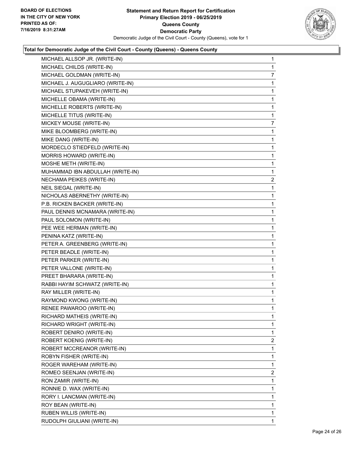

| MICHAEL ALLSOP JR. (WRITE-IN)    | 1              |
|----------------------------------|----------------|
| MICHAEL CHILDS (WRITE-IN)        | 1              |
| MICHAEL GOLDMAN (WRITE-IN)       | 7              |
| MICHAEL J. AUGUGLIARO (WRITE-IN) | 1              |
| MICHAEL STUPAKEVEH (WRITE-IN)    | 1              |
| MICHELLE OBAMA (WRITE-IN)        | 1              |
| MICHELLE ROBERTS (WRITE-IN)      | 1              |
| MICHELLE TITUS (WRITE-IN)        | 1              |
| MICKEY MOUSE (WRITE-IN)          | 7              |
| MIKE BLOOMBERG (WRITE-IN)        | 1              |
| MIKE DANG (WRITE-IN)             | 1              |
| MORDECLO STIEDFELD (WRITE-IN)    | 1              |
| MORRIS HOWARD (WRITE-IN)         | 1              |
| MOSHE METH (WRITE-IN)            | 1              |
| MUHAMMAD IBN ABDULLAH (WRITE-IN) | 1              |
| NECHAMA PEIKES (WRITE-IN)        | 2              |
| NEIL SIEGAL (WRITE-IN)           | 1              |
| NICHOLAS ABERNETHY (WRITE-IN)    | 1              |
| P.B. RICKEN BACKER (WRITE-IN)    | 1              |
| PAUL DENNIS MCNAMARA (WRITE-IN)  | 1              |
| PAUL SOLOMON (WRITE-IN)          | 1              |
| PEE WEE HERMAN (WRITE-IN)        | 1              |
| PENINA KATZ (WRITE-IN)           | 1              |
| PETER A. GREENBERG (WRITE-IN)    | 1              |
| PETER BEADLE (WRITE-IN)          | 1              |
| PETER PARKER (WRITE-IN)          | 1              |
| PETER VALLONE (WRITE-IN)         | 1              |
| PREET BHARARA (WRITE-IN)         | 1              |
| RABBI HAYIM SCHWATZ (WRITE-IN)   | 1              |
| RAY MILLER (WRITE-IN)            | 1              |
| RAYMOND KWONG (WRITE-IN)         | 1              |
| RENEE PAWAROO (WRITE-IN)         | 1              |
| RICHARD MATHEIS (WRITE-IN)       | 1              |
| RICHARD WRIGHT (WRITE-IN)        | 1              |
| ROBERT DENIRO (WRITE-IN)         | 1              |
| ROBERT KOENIG (WRITE-IN)         | 2              |
| ROBERT MCCREANOR (WRITE-IN)      | 1              |
| ROBYN FISHER (WRITE-IN)          | 1              |
| ROGER WAREHAM (WRITE-IN)         | 1              |
| ROMEO SEENJAN (WRITE-IN)         | $\overline{2}$ |
| RON ZAMIR (WRITE-IN)             | 1              |
| RONNIE D. WAX (WRITE-IN)         | 1              |
| RORY I. LANCMAN (WRITE-IN)       | 1              |
| ROY BEAN (WRITE-IN)              | 1              |
| RUBEN WILLIS (WRITE-IN)          | 1              |
| RUDOLPH GIULIANI (WRITE-IN)      | 1              |
|                                  |                |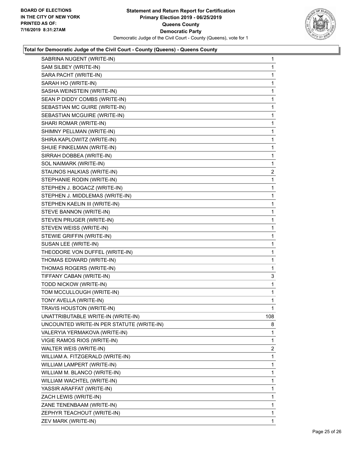

| SABRINA NUGENT (WRITE-IN)                 | 1              |
|-------------------------------------------|----------------|
| SAM SILBEY (WRITE-IN)                     | 1              |
| SARA PACHT (WRITE-IN)                     | 1              |
| SARAH HO (WRITE-IN)                       | 1              |
| SASHA WEINSTEIN (WRITE-IN)                | 1              |
| SEAN P DIDDY COMBS (WRITE-IN)             | 1              |
| SEBASTIAN MC GUIRE (WRITE-IN)             | 1              |
| SEBASTIAN MCGUIRE (WRITE-IN)              | 1              |
| SHARI ROMAR (WRITE-IN)                    | 1              |
| SHIMNY PELLMAN (WRITE-IN)                 | 1              |
| SHIRA KAPLOWITZ (WRITE-IN)                | 1              |
| SHUIE FINKELMAN (WRITE-IN)                | 1              |
| SIRRAH DOBBEA (WRITE-IN)                  | 1              |
| SOL NAIMARK (WRITE-IN)                    | 1              |
| STAUNOS HALKIAS (WRITE-IN)                | $\overline{c}$ |
| STEPHANIE RODIN (WRITE-IN)                | 1              |
| STEPHEN J. BOGACZ (WRITE-IN)              | 1              |
| STEPHEN J. MIDDLEMAS (WRITE-IN)           | 1              |
| STEPHEN KAELIN III (WRITE-IN)             | 1              |
| STEVE BANNON (WRITE-IN)                   | 1              |
| STEVEN PRUGER (WRITE-IN)                  | 1              |
| STEVEN WEISS (WRITE-IN)                   | 1              |
| STEWIE GRIFFIN (WRITE-IN)                 | $\mathbf{1}$   |
| SUSAN LEE (WRITE-IN)                      | 1              |
| THEODORE VON DUFFEL (WRITE-IN)            | 1              |
| THOMAS EDWARD (WRITE-IN)                  | 1              |
| THOMAS ROGERS (WRITE-IN)                  | 1              |
| TIFFANY CABAN (WRITE-IN)                  | 3              |
| TODD NICKOW (WRITE-IN)                    | $\mathbf{1}$   |
| TOM MCCULLOUGH (WRITE-IN)                 | 1              |
| TONY AVELLA (WRITE-IN)                    | 1              |
| TRAVIS HOUSTON (WRITE-IN)                 | 1              |
| UNATTRIBUTABLE WRITE-IN (WRITE-IN)        | 108            |
| UNCOUNTED WRITE-IN PER STATUTE (WRITE-IN) | 8              |
| VALERYIA YERMAKOVA (WRITE-IN)             | 1              |
| VIGIE RAMOS RIOS (WRITE-IN)               | 1              |
| WALTER WEIS (WRITE-IN)                    | $\overline{c}$ |
| WILLIAM A. FITZGERALD (WRITE-IN)          | 1              |
| WILLIAM LAMPERT (WRITE-IN)                | 1              |
| WILLIAM M. BLANCO (WRITE-IN)              | 1              |
| WILLIAM WACHTEL (WRITE-IN)                | 1              |
| YASSIR ARAFFAT (WRITE-IN)                 | 1              |
| ZACH LEWIS (WRITE-IN)                     | 1              |
| ZANE TENENBAAM (WRITE-IN)                 | 1              |
| ZEPHYR TEACHOUT (WRITE-IN)                | 1              |
| ZEV MARK (WRITE-IN)                       | 1              |